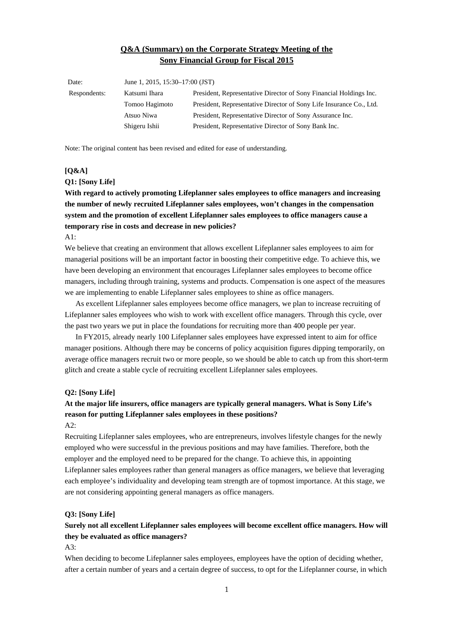## **Q&A (Summary) on the Corporate Strategy Meeting of the Sony Financial Group for Fiscal 2015**

| Date:        | June 1, 2015, 15:30–17:00 (JST) |                                                                     |
|--------------|---------------------------------|---------------------------------------------------------------------|
| Respondents: | Katsumi Ihara                   | President, Representative Director of Sony Financial Holdings Inc.  |
|              | Tomoo Hagimoto                  | President, Representative Director of Sony Life Insurance Co., Ltd. |
|              | Atsuo Niwa                      | President, Representative Director of Sony Assurance Inc.           |
|              | Shigeru Ishii                   | President, Representative Director of Sony Bank Inc.                |
|              |                                 |                                                                     |

Note: The original content has been revised and edited for ease of understanding.

#### **[Q&A]**

#### **Q1: [Sony Life]**

**With regard to actively promoting Lifeplanner sales employees to office managers and increasing the number of newly recruited Lifeplanner sales employees, won't changes in the compensation system and the promotion of excellent Lifeplanner sales employees to office managers cause a temporary rise in costs and decrease in new policies?** 

#### A1:

We believe that creating an environment that allows excellent Lifeplanner sales employees to aim for managerial positions will be an important factor in boosting their competitive edge. To achieve this, we have been developing an environment that encourages Lifeplanner sales employees to become office managers, including through training, systems and products. Compensation is one aspect of the measures we are implementing to enable Lifeplanner sales employees to shine as office managers.

 As excellent Lifeplanner sales employees become office managers, we plan to increase recruiting of Lifeplanner sales employees who wish to work with excellent office managers. Through this cycle, over the past two years we put in place the foundations for recruiting more than 400 people per year.

 In FY2015, already nearly 100 Lifeplanner sales employees have expressed intent to aim for office manager positions. Although there may be concerns of policy acquisition figures dipping temporarily, on average office managers recruit two or more people, so we should be able to catch up from this short-term glitch and create a stable cycle of recruiting excellent Lifeplanner sales employees.

#### **Q2: [Sony Life]**

# **At the major life insurers, office managers are typically general managers. What is Sony Life's reason for putting Lifeplanner sales employees in these positions?**

### $A2:$

Recruiting Lifeplanner sales employees, who are entrepreneurs, involves lifestyle changes for the newly employed who were successful in the previous positions and may have families. Therefore, both the employer and the employed need to be prepared for the change. To achieve this, in appointing Lifeplanner sales employees rather than general managers as office managers, we believe that leveraging each employee's individuality and developing team strength are of topmost importance. At this stage, we are not considering appointing general managers as office managers.

### **Q3: [Sony Life]**

## **Surely not all excellent Lifeplanner sales employees will become excellent office managers. How will they be evaluated as office managers?**

 $A3:$ 

When deciding to become Lifeplanner sales employees, employees have the option of deciding whether, after a certain number of years and a certain degree of success, to opt for the Lifeplanner course, in which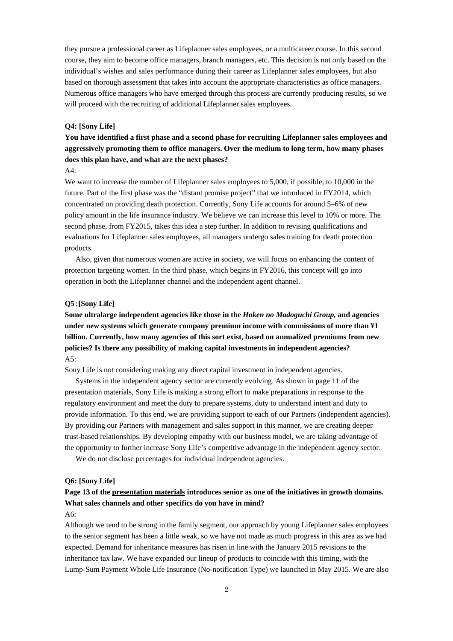they pursue a professional career as Lifeplanner sales employees, or a multicareer course. In this second course, they aim to become office managers, branch managers, etc. This decision is not only based on the individual's wishes and sales performance during their career as Lifeplanner sales employees, but also based on thorough assessment that takes into account the appropriate characteristics as office managers. Numerous office managers who have emerged through this process are currently producing results, so we will proceed with the recruiting of additional Lifeplanner sales employees.

#### **Q4: [Sony Life]**

**You have identified a first phase and a second phase for recruiting Lifeplanner sales employees and aggressively promoting them to office managers. Over the medium to long term, how many phases does this plan have, and what are the next phases?** 

A4:

We want to increase the number of Lifeplanner sales employees to 5,000, if possible, to 10,000 in the future. Part of the first phase was the "distant promise project" that we introduced in FY2014, which concentrated on providing death protection. Currently, Sony Life accounts for around 5–6% of new policy amount in the life insurance industry. We believe we can increase this level to 10% or more. The second phase, from FY2015, takes this idea a step further. In addition to revising qualifications and evaluations for Lifeplanner sales employees, all managers undergo sales training for death protection products.

 Also, given that numerous women are active in society, we will focus on enhancing the content of protection targeting women. In the third phase, which begins in FY2016, this concept will go into operation in both the Lifeplanner channel and the independent agent channel.

## **Q5**:**[Sony Life]**

**Some ultralarge independent agencies like those in the** *Hoken no Madoguchi Group,* **and agencies under new systems which generate company premium income with commissions of more than ¥1 billion. Currently, how many agencies of this sort exist, based on annualized premiums from new policies? Is there any possibility of making capital investments in independent agencies?**  A5:

Sony Life is not considering making any direct capital investment in independent agencies.

 Systems in the independent agency sector are currently evolving. As shown in page 11 of the [presentation materials,](http://www.sonyfh.co.jp/en/financial_info/management_vision/150601_01.pdf) Sony Life is making a strong effort to make preparations in response to the regulatory environment and meet the duty to prepare systems, duty to understand intent and duty to provide information. To this end, we are providing support to each of our Partners (independent agencies). By providing our Partners with management and sales support in this manner, we are creating deeper trust-based relationships. By developing empathy with our business model, we are taking advantage of the opportunity to further increase Sony Life's competitive advantage in the independent agency sector.

We do not disclose percentages for individual independent agencies.

### **Q6: [Sony Life]**

# **Page 13 of the [presentation materials](http://www.sonyfh.co.jp/en/financial_info/management_vision/150601_01.pdf) introduces senior as one of the initiatives in growth domains. What sales channels and other specifics do you have in mind?**

A6:

Although we tend to be strong in the family segment, our approach by young Lifeplanner sales employees to the senior segment has been a little weak, so we have not made as much progress in this area as we had expected. Demand for inheritance measures has risen in line with the January 2015 revisions to the inheritance tax law. We have expanded our lineup of products to coincide with this timing, with the Lump-Sum Payment Whole Life Insurance (No-notification Type) we launched in May 2015. We are also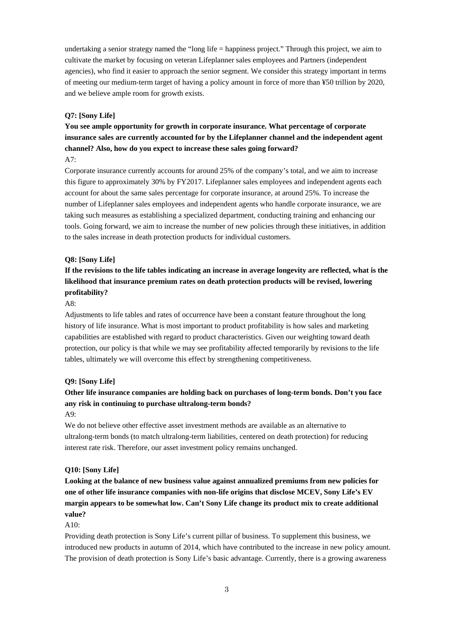undertaking a senior strategy named the "long life = happiness project." Through this project, we aim to cultivate the market by focusing on veteran Lifeplanner sales employees and Partners (independent agencies), who find it easier to approach the senior segment. We consider this strategy important in terms of meeting our medium-term target of having a policy amount in force of more than ¥50 trillion by 2020, and we believe ample room for growth exists.

## **Q7: [Sony Life]**

**You see ample opportunity for growth in corporate insurance. What percentage of corporate insurance sales are currently accounted for by the Lifeplanner channel and the independent agent channel? Also, how do you expect to increase these sales going forward?** 

A7:

Corporate insurance currently accounts for around 25% of the company's total, and we aim to increase this figure to approximately 30% by FY2017. Lifeplanner sales employees and independent agents each account for about the same sales percentage for corporate insurance, at around 25%. To increase the number of Lifeplanner sales employees and independent agents who handle corporate insurance, we are taking such measures as establishing a specialized department, conducting training and enhancing our tools. Going forward, we aim to increase the number of new policies through these initiatives, in addition to the sales increase in death protection products for individual customers.

#### **Q8: [Sony Life]**

# **If the revisions to the life tables indicating an increase in average longevity are reflected, what is the likelihood that insurance premium rates on death protection products will be revised, lowering profitability?**

A8:

Adjustments to life tables and rates of occurrence have been a constant feature throughout the long history of life insurance. What is most important to product profitability is how sales and marketing capabilities are established with regard to product characteristics. Given our weighting toward death protection, our policy is that while we may see profitability affected temporarily by revisions to the life tables, ultimately we will overcome this effect by strengthening competitiveness.

#### **Q9: [Sony Life]**

# **Other life insurance companies are holding back on purchases of long-term bonds. Don't you face any risk in continuing to purchase ultralong-term bonds?**

## A9:

We do not believe other effective asset investment methods are available as an alternative to ultralong-term bonds (to match ultralong-term liabilities, centered on death protection) for reducing interest rate risk. Therefore, our asset investment policy remains unchanged.

### **Q10: [Sony Life]**

**Looking at the balance of new business value against annualized premiums from new policies for one of other life insurance companies with non-life origins that disclose MCEV, Sony Life's EV margin appears to be somewhat low. Can't Sony Life change its product mix to create additional value?**

#### A10:

Providing death protection is Sony Life's current pillar of business. To supplement this business, we introduced new products in autumn of 2014, which have contributed to the increase in new policy amount. The provision of death protection is Sony Life's basic advantage. Currently, there is a growing awareness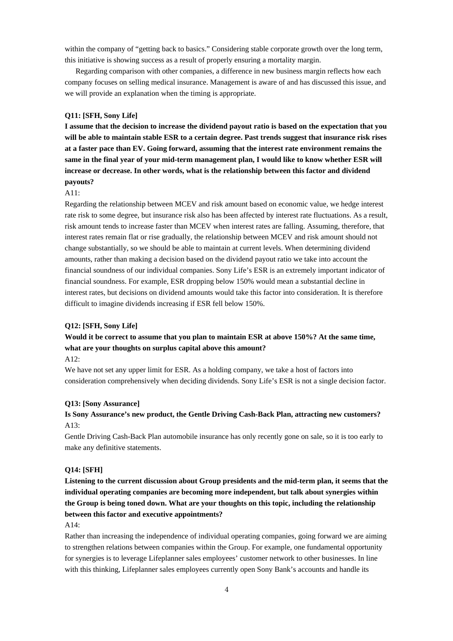within the company of "getting back to basics." Considering stable corporate growth over the long term, this initiative is showing success as a result of properly ensuring a mortality margin.

 Regarding comparison with other companies, a difference in new business margin reflects how each company focuses on selling medical insurance. Management is aware of and has discussed this issue, and we will provide an explanation when the timing is appropriate.

## **Q11: [SFH, Sony Life]**

**I assume that the decision to increase the dividend payout ratio is based on the expectation that you will be able to maintain stable ESR to a certain degree. Past trends suggest that insurance risk rises at a faster pace than EV. Going forward, assuming that the interest rate environment remains the same in the final year of your mid-term management plan, I would like to know whether ESR will increase or decrease. In other words, what is the relationship between this factor and dividend payouts?** 

#### A11:

Regarding the relationship between MCEV and risk amount based on economic value, we hedge interest rate risk to some degree, but insurance risk also has been affected by interest rate fluctuations. As a result, risk amount tends to increase faster than MCEV when interest rates are falling. Assuming, therefore, that interest rates remain flat or rise gradually, the relationship between MCEV and risk amount should not change substantially, so we should be able to maintain at current levels. When determining dividend amounts, rather than making a decision based on the dividend payout ratio we take into account the financial soundness of our individual companies. Sony Life's ESR is an extremely important indicator of financial soundness. For example, ESR dropping below 150% would mean a substantial decline in interest rates, but decisions on dividend amounts would take this factor into consideration. It is therefore difficult to imagine dividends increasing if ESR fell below 150%.

#### **Q12: [SFH, Sony Life]**

## **Would it be correct to assume that you plan to maintain ESR at above 150%? At the same time, what are your thoughts on surplus capital above this amount?**

#### $A12$

We have not set any upper limit for ESR. As a holding company, we take a host of factors into consideration comprehensively when deciding dividends. Sony Life's ESR is not a single decision factor.

#### **Q13: [Sony Assurance]**

## **Is Sony Assurance's new product, the Gentle Driving Cash-Back Plan, attracting new customers?**  A13:

Gentle Driving Cash-Back Plan automobile insurance has only recently gone on sale, so it is too early to make any definitive statements.

### **Q14: [SFH]**

**Listening to the current discussion about Group presidents and the mid-term plan, it seems that the individual operating companies are becoming more independent, but talk about synergies within the Group is being toned down. What are your thoughts on this topic, including the relationship between this factor and executive appointments?** 

#### A14:

Rather than increasing the independence of individual operating companies, going forward we are aiming to strengthen relations between companies within the Group. For example, one fundamental opportunity for synergies is to leverage Lifeplanner sales employees' customer network to other businesses. In line with this thinking, Lifeplanner sales employees currently open Sony Bank's accounts and handle its